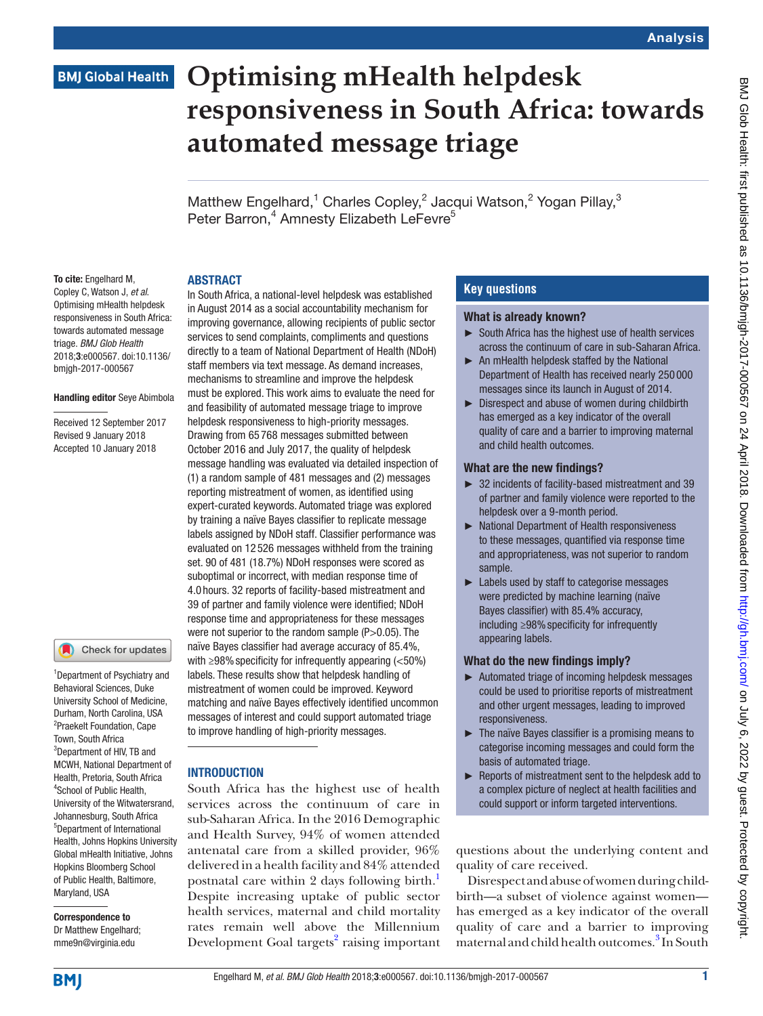# **BMJ Global Health**

# **Optimising mHealth helpdesk responsiveness in South Africa: towards automated message triage**

Matthew Engelhard,<sup>1</sup> Charles Copley,<sup>2</sup> Jacqui Watson,<sup>2</sup> Yogan Pillay,<sup>3</sup> Peter Barron,<sup>4</sup> Amnesty Elizabeth LeFevre<sup>5</sup>

#### **ABSTRACT**

To cite: Engelhard M, Copley C, Watson J, *et al*. Optimising mHealth helpdesk responsiveness in South Africa: towards automated message triage. *BMJ Glob Health* 2018;3:e000567. doi:10.1136/ bmjgh-2017-000567

#### Handling editor Seye Abimbola

Received 12 September 2017 Revised 9 January 2018 Accepted 10 January 2018

#### Check for updates

<sup>1</sup>Department of Psychiatry and Behavioral Sciences, Duke University School of Medicine, Durham, North Carolina, USA <sup>2</sup>Praekelt Foundation, Cape Town, South Africa <sup>3</sup>Department of HIV, TB and MCWH, National Department of Health, Pretoria, South Africa 4 School of Public Health, University of the Witwatersrand, Johannesburg, South Africa 5 Department of International Health, Johns Hopkins University Global mHealth Initiative, Johns Hopkins Bloomberg School of Public Health, Baltimore, Maryland, USA

Correspondence to Dr Matthew Engelhard; mme9n@virginia.edu

In South Africa, a national-level helpdesk was established in August 2014 as a social accountability mechanism for improving governance, allowing recipients of public sector services to send complaints, compliments and questions directly to a team of National Department of Health (NDoH) staff members via text message. As demand increases, mechanisms to streamline and improve the helpdesk must be explored. This work aims to evaluate the need for and feasibility of automated message triage to improve helpdesk responsiveness to high-priority messages. Drawing from 65 768 messages submitted between October 2016 and July 2017, the quality of helpdesk message handling was evaluated via detailed inspection of (1) a random sample of 481 messages and (2) messages reporting mistreatment of women, as identified using expert-curated keywords. Automated triage was explored by training a naïve Bayes classifier to replicate message labels assigned by NDoH staff. Classifier performance was evaluated on 12 526 messages withheld from the training set. 90 of 481 (18.7%) NDoH responses were scored as suboptimal or incorrect, with median response time of 4.0 hours. 32 reports of facility-based mistreatment and 39 of partner and family violence were identified; NDoH response time and appropriateness for these messages were not superior to the random sample (P>0.05). The naïve Bayes classifier had average accuracy of 85.4%, with  $\geq$ 98% specificity for infrequently appearing (<50%) labels. These results show that helpdesk handling of mistreatment of women could be improved. Keyword matching and naïve Bayes effectively identified uncommon messages of interest and could support automated triage to improve handling of high-priority messages.

# **INTRODUCTION**

South Africa has the highest use of health services across the continuum of care in sub-Saharan Africa. In the 2016 Demographic and Health Survey, 94% of women attended antenatal care from a skilled provider, 96% delivered in a health facility and 84% attended postnatal care within 2 days following birth.<sup>1</sup> Despite increasing uptake of public sector health services, maternal and child mortality rates remain well above the Millennium Development Goal targets<sup>[2](#page-8-1)</sup> raising important

# **Key questions**

#### What is already known?

- ► South Africa has the highest use of health services across the continuum of care in sub-Saharan Africa.
- ► An mHealth helpdesk staffed by the National Department of Health has received nearly 250 000 messages since its launch in August of 2014.
- ► Disrespect and abuse of women during childbirth has emerged as a key indicator of the overall quality of care and a barrier to improving maternal and child health outcomes.

#### What are the new findings?

- ► 32 incidents of facility-based mistreatment and 39 of partner and family violence were reported to the helpdesk over a 9-month period.
- ► National Department of Health responsiveness to these messages, quantified via response time and appropriateness, was not superior to random sample.
- ► Labels used by staff to categorise messages were predicted by machine learning (naïve Bayes classifier) with 85.4% accuracy, including ≥98%specificity for infrequently appearing labels.

# What do the new findings imply?

- ► Automated triage of incoming helpdesk messages could be used to prioritise reports of mistreatment and other urgent messages, leading to improved responsiveness.
- ► The naïve Bayes classifier is a promising means to categorise incoming messages and could form the basis of automated triage.
- ► Reports of mistreatment sent to the helpdesk add to a complex picture of neglect at health facilities and could support or inform targeted interventions.

questions about the underlying content and quality of care received.

Disrespect and abuse of women during childbirth—a subset of violence against women has emerged as a key indicator of the overall quality of care and a barrier to improving maternal and child health outcomes.[3](#page-8-2) In South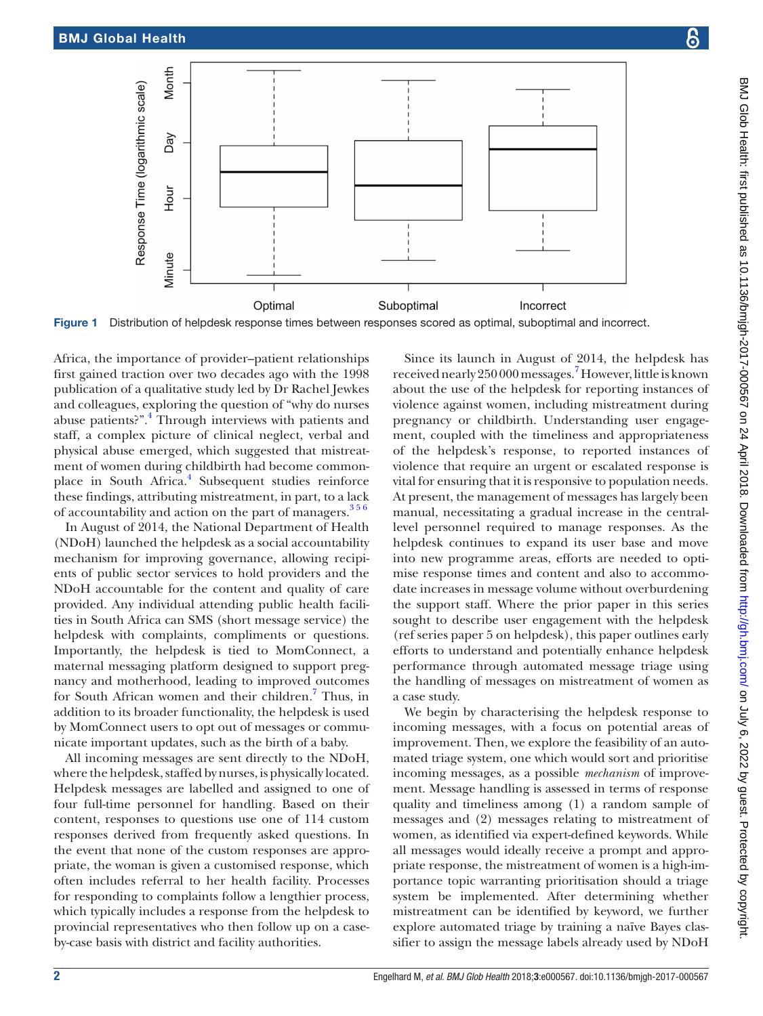

<span id="page-1-0"></span>Figure 1 Distribution of helpdesk response times between responses scored as optimal, suboptimal and incorrect.

Africa, the importance of provider–patient relationships first gained traction over two decades ago with the 1998 publication of a qualitative study led by Dr Rachel Jewkes and colleagues, exploring the question of "why do nurses abuse patients?".<sup>4</sup> Through interviews with patients and staff, a complex picture of clinical neglect, verbal and physical abuse emerged, which suggested that mistreatment of women during childbirth had become common-place in South Africa.<sup>[4](#page-8-3)</sup> Subsequent studies reinforce these findings, attributing mistreatment, in part, to a lack of accountability and action on the part of managers. $356$ 

In August of 2014, the National Department of Health (NDoH) launched the helpdesk as a social accountability mechanism for improving governance, allowing recipients of public sector services to hold providers and the NDoH accountable for the content and quality of care provided. Any individual attending public health facilities in South Africa can SMS (short message service) the helpdesk with complaints, compliments or questions. Importantly, the helpdesk is tied to MomConnect, a maternal messaging platform designed to support pregnancy and motherhood, leading to improved outcomes for South African women and their children.<sup>7</sup> Thus, in addition to its broader functionality, the helpdesk is used by MomConnect users to opt out of messages or communicate important updates, such as the birth of a baby.

All incoming messages are sent directly to the NDoH, where the helpdesk, staffed by nurses, is physically located. Helpdesk messages are labelled and assigned to one of four full-time personnel for handling. Based on their content, responses to questions use one of 114 custom responses derived from frequently asked questions. In the event that none of the custom responses are appropriate, the woman is given a customised response, which often includes referral to her health facility. Processes for responding to complaints follow a lengthier process, which typically includes a response from the helpdesk to provincial representatives who then follow up on a caseby-case basis with district and facility authorities.

Since its launch in August of 2014, the helpdesk has received nearly 250 000 messages.<sup>[7](#page-8-4)</sup> However, little is known about the use of the helpdesk for reporting instances of violence against women, including mistreatment during pregnancy or childbirth. Understanding user engagement, coupled with the timeliness and appropriateness of the helpdesk's response, to reported instances of violence that require an urgent or escalated response is vital for ensuring that it is responsive to population needs. At present, the management of messages has largely been manual, necessitating a gradual increase in the centrallevel personnel required to manage responses. As the helpdesk continues to expand its user base and move into new programme areas, efforts are needed to optimise response times and content and also to accommodate increases in message volume without overburdening the support staff. Where the prior paper in this series sought to describe user engagement with the helpdesk (ref series paper 5 on helpdesk), this paper outlines early efforts to understand and potentially enhance helpdesk performance through automated message triage using the handling of messages on mistreatment of women as a case study.

We begin by characterising the helpdesk response to incoming messages, with a focus on potential areas of improvement. Then, we explore the feasibility of an automated triage system, one which would sort and prioritise incoming messages, as a possible *mechanism* of improvement. Message handling is assessed in terms of response quality and timeliness among (1) a random sample of messages and (2) messages relating to mistreatment of women, as identified via expert-defined keywords. While all messages would ideally receive a prompt and appropriate response, the mistreatment of women is a high-importance topic warranting prioritisation should a triage system be implemented. After determining whether mistreatment can be identified by keyword, we further explore automated triage by training a naïve Bayes classifier to assign the message labels already used by NDoH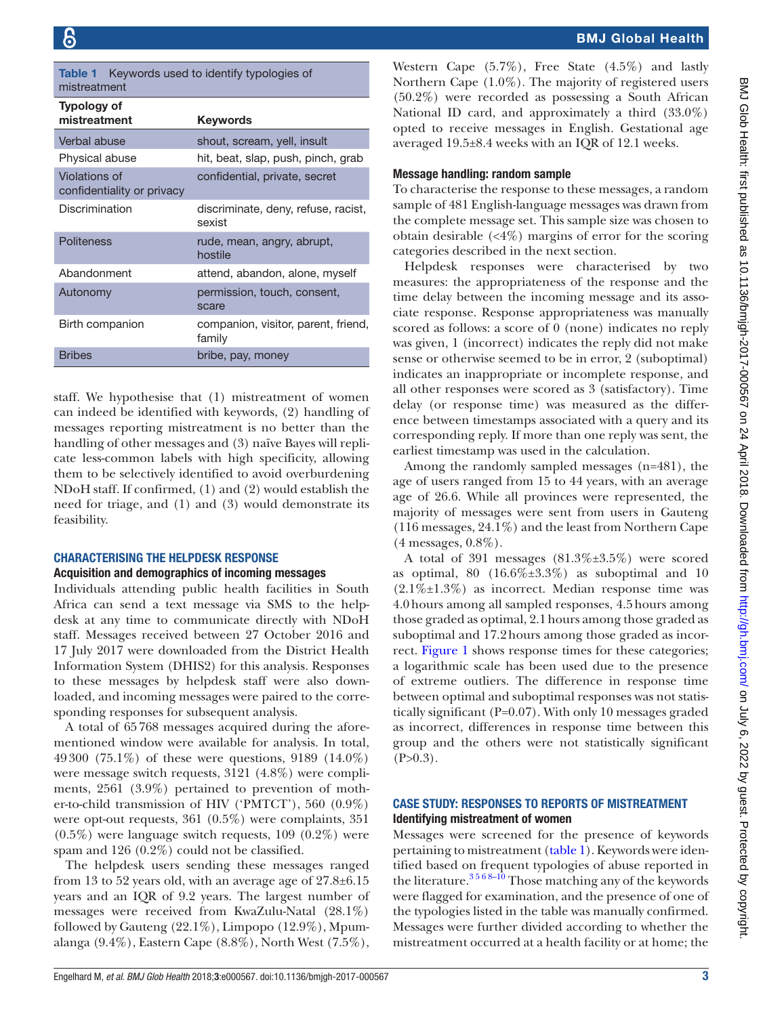<span id="page-2-0"></span>

|              | <b>Table 1</b> Keywords used to identify typologies of |  |
|--------------|--------------------------------------------------------|--|
| mistreatment |                                                        |  |

| Typology of<br>mistreatment                 | <b>Keywords</b>                               |
|---------------------------------------------|-----------------------------------------------|
| Verbal abuse                                | shout, scream, yell, insult                   |
| Physical abuse                              | hit, beat, slap, push, pinch, grab            |
| Violations of<br>confidentiality or privacy | confidential, private, secret                 |
| Discrimination                              | discriminate, deny, refuse, racist,<br>sexist |
| <b>Politeness</b>                           | rude, mean, angry, abrupt,<br>hostile         |
| Abandonment                                 | attend, abandon, alone, myself                |
| Autonomy                                    | permission, touch, consent,<br>scare          |
| Birth companion                             | companion, visitor, parent, friend,<br>family |
| <b>Bribes</b>                               | bribe, pay, money                             |

staff. We hypothesise that (1) mistreatment of women can indeed be identified with keywords, (2) handling of messages reporting mistreatment is no better than the handling of other messages and (3) naïve Bayes will replicate less-common labels with high specificity, allowing them to be selectively identified to avoid overburdening NDoH staff. If confirmed, (1) and (2) would establish the need for triage, and (1) and (3) would demonstrate its feasibility.

#### Characterising the helpdesk response

#### Acquisition and demographics of incoming messages

Individuals attending public health facilities in South Africa can send a text message via SMS to the helpdesk at any time to communicate directly with NDoH staff. Messages received between 27 October 2016 and 17 July 2017 were downloaded from the District Health Information System (DHIS2) for this analysis. Responses to these messages by helpdesk staff were also downloaded, and incoming messages were paired to the corresponding responses for subsequent analysis.

A total of 65768 messages acquired during the aforementioned window were available for analysis. In total, 49300 (75.1%) of these were questions, 9189 (14.0%) were message switch requests, 3121 (4.8%) were compliments, 2561 (3.9%) pertained to prevention of mother-to-child transmission of HIV ('PMTCT'), 560 (0.9%) were opt-out requests, 361 (0.5%) were complaints, 351 (0.5%) were language switch requests, 109 (0.2%) were spam and 126 (0.2%) could not be classified.

The helpdesk users sending these messages ranged from 13 to 52 years old, with an average age of 27.8±6.15 years and an IQR of 9.2 years. The largest number of messages were received from KwaZulu-Natal (28.1%) followed by Gauteng  $(22.1\%)$ , Limpopo  $(12.9\%)$ , Mpumalanga (9.4%), Eastern Cape (8.8%), North West (7.5%),

Western Cape (5.7%), Free State (4.5%) and lastly Northern Cape (1.0%). The majority of registered users (50.2%) were recorded as possessing a South African National ID card, and approximately a third (33.0%) opted to receive messages in English. Gestational age averaged 19.5±8.4 weeks with an IQR of 12.1 weeks.

#### Message handling: random sample

To characterise the response to these messages, a random sample of 481 English-language messages was drawn from the complete message set. This sample size was chosen to obtain desirable  $\langle \langle 4\% \rangle$  margins of error for the scoring categories described in the next section.

Helpdesk responses were characterised by two measures: the appropriateness of the response and the time delay between the incoming message and its associate response. Response appropriateness was manually scored as follows: a score of 0 (none) indicates no reply was given, 1 (incorrect) indicates the reply did not make sense or otherwise seemed to be in error, 2 (suboptimal) indicates an inappropriate or incomplete response, and all other responses were scored as 3 (satisfactory). Time delay (or response time) was measured as the difference between timestamps associated with a query and its corresponding reply. If more than one reply was sent, the earliest timestamp was used in the calculation.

Among the randomly sampled messages (n=481), the age of users ranged from 15 to 44 years, with an average age of 26.6. While all provinces were represented, the majority of messages were sent from users in Gauteng (116 messages, 24.1%) and the least from Northern Cape (4 messages, 0.8%).

A total of 391 messages  $(81.3\% \pm 3.5\%)$  were scored as optimal, 80  $(16.6\% \pm 3.3\%)$  as suboptimal and 10  $(2.1\% \pm 1.3\%)$  as incorrect. Median response time was 4.0hours among all sampled responses, 4.5hours among those graded as optimal, 2.1hours among those graded as suboptimal and 17.2hours among those graded as incorrect. [Figure](#page-1-0) 1 shows response times for these categories; a logarithmic scale has been used due to the presence of extreme outliers. The difference in response time between optimal and suboptimal responses was not statistically significant (P=0.07). With only 10 messages graded as incorrect, differences in response time between this group and the others were not statistically significant  $(P>0.3)$ .

## Case study: responses to reports of mistreatment Identifying mistreatment of women

Messages were screened for the presence of keywords pertaining to mistreatment [\(table](#page-2-0) 1). Keywords were identified based on frequent typologies of abuse reported in the literature.<sup>3568-10</sup> Those matching any of the keywords were flagged for examination, and the presence of one of the typologies listed in the table was manually confirmed. Messages were further divided according to whether the mistreatment occurred at a health facility or at home; the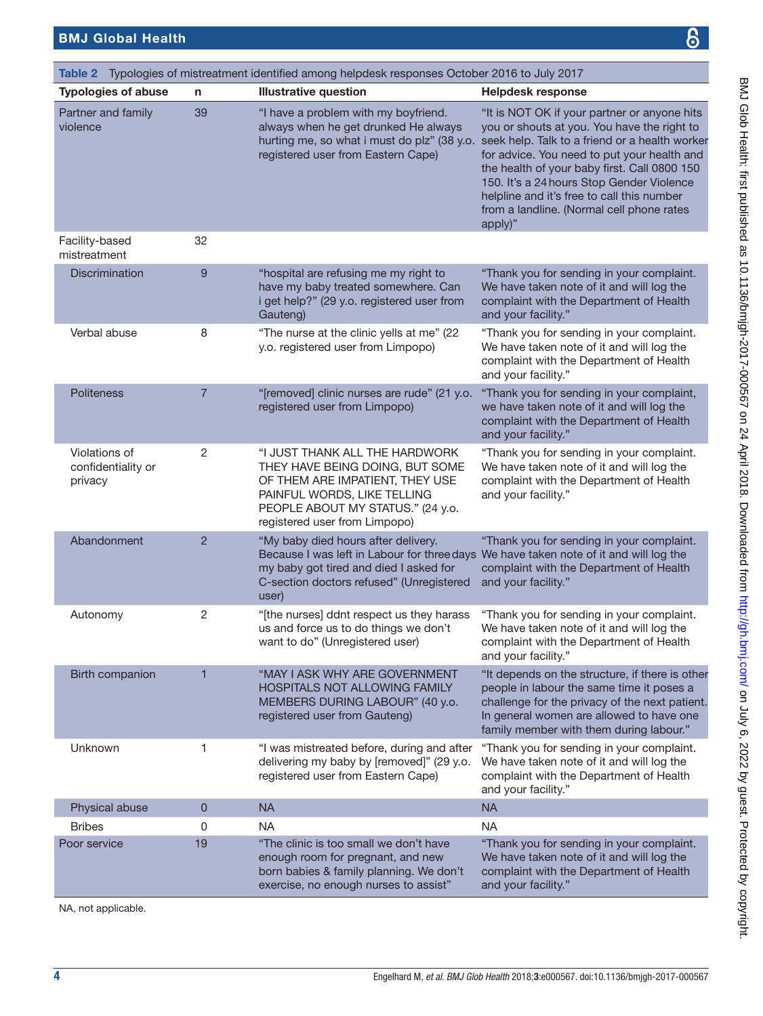BMJ Glob Health: first published as 10.1136/bmigh-2017-000567 on 24 April 2018. Downloaded from http://gh.bmj.com/ on July 6, 2022 by guest. Protected by copyright. BMJ Glob Health: first published as 10.1136/bmjgh-2017-000567 on 24 April 2018. Downloaded from <http://gh.bmj.com/> on July 6, 2022 by guest. Protected by copyright

<span id="page-3-0"></span>

| Table 2 Typologies of mistreatment identified among helpdesk responses October 2016 to July 2017 |                |                                                                                                                                                                                                           |                                                                                                                                                                                                                                                                                                                                                                                                 |
|--------------------------------------------------------------------------------------------------|----------------|-----------------------------------------------------------------------------------------------------------------------------------------------------------------------------------------------------------|-------------------------------------------------------------------------------------------------------------------------------------------------------------------------------------------------------------------------------------------------------------------------------------------------------------------------------------------------------------------------------------------------|
| <b>Typologies of abuse</b>                                                                       | n              | <b>Illustrative question</b>                                                                                                                                                                              | <b>Helpdesk response</b>                                                                                                                                                                                                                                                                                                                                                                        |
| Partner and family<br>violence                                                                   | 39             | "I have a problem with my boyfriend.<br>always when he get drunked He always<br>hurting me, so what i must do plz" (38 y.o.<br>registered user from Eastern Cape)                                         | "It is NOT OK if your partner or anyone hits<br>you or shouts at you. You have the right to<br>seek help. Talk to a friend or a health worker<br>for advice. You need to put your health and<br>the health of your baby first. Call 0800 150<br>150. It's a 24 hours Stop Gender Violence<br>helpline and it's free to call this number<br>from a landline. (Normal cell phone rates<br>apply)" |
| Facility-based<br>mistreatment                                                                   | 32             |                                                                                                                                                                                                           |                                                                                                                                                                                                                                                                                                                                                                                                 |
| <b>Discrimination</b>                                                                            | 9              | "hospital are refusing me my right to<br>have my baby treated somewhere. Can<br>i get help?" (29 y.o. registered user from<br>Gauteng)                                                                    | "Thank you for sending in your complaint.<br>We have taken note of it and will log the<br>complaint with the Department of Health<br>and your facility."                                                                                                                                                                                                                                        |
| Verbal abuse                                                                                     | 8              | "The nurse at the clinic yells at me" (22<br>y.o. registered user from Limpopo)                                                                                                                           | "Thank you for sending in your complaint.<br>We have taken note of it and will log the<br>complaint with the Department of Health<br>and your facility."                                                                                                                                                                                                                                        |
| Politeness                                                                                       | $\overline{7}$ | "[removed] clinic nurses are rude" (21 y.o.<br>registered user from Limpopo)                                                                                                                              | "Thank you for sending in your complaint,<br>we have taken note of it and will log the<br>complaint with the Department of Health<br>and your facility."                                                                                                                                                                                                                                        |
| Violations of<br>confidentiality or<br>privacy                                                   | $\overline{2}$ | "I JUST THANK ALL THE HARDWORK<br>THEY HAVE BEING DOING, BUT SOME<br>OF THEM ARE IMPATIENT, THEY USE<br>PAINFUL WORDS, LIKE TELLING<br>PEOPLE ABOUT MY STATUS." (24 y.o.<br>registered user from Limpopo) | "Thank you for sending in your complaint.<br>We have taken note of it and will log the<br>complaint with the Department of Health<br>and your facility."                                                                                                                                                                                                                                        |
| Abandonment                                                                                      | $\overline{2}$ | "My baby died hours after delivery.<br>Because I was left in Labour for three days<br>my baby got tired and died I asked for<br>C-section doctors refused" (Unregistered<br>user)                         | "Thank you for sending in your complaint.<br>We have taken note of it and will log the<br>complaint with the Department of Health<br>and your facility."                                                                                                                                                                                                                                        |
| Autonomy                                                                                         | $\overline{c}$ | "[the nurses] ddnt respect us they harass<br>us and force us to do things we don't<br>want to do" (Unregistered user)                                                                                     | "Thank you for sending in your complaint.<br>We have taken note of it and will log the<br>complaint with the Department of Health<br>and your facility."                                                                                                                                                                                                                                        |
| Birth companion                                                                                  | 1              | "MAY I ASK WHY ARE GOVERNMENT<br>HOSPITALS NOT ALLOWING FAMILY<br>MEMBERS DURING LABOUR" (40 y.o.<br>registered user from Gauteng)                                                                        | "It depends on the structure, if there is other<br>people in labour the same time it poses a<br>challenge for the privacy of the next patient.<br>In general women are allowed to have one<br>family member with them during labour."                                                                                                                                                           |
| Unknown                                                                                          | 1              | "I was mistreated before, during and after<br>delivering my baby by [removed]" (29 y.o.<br>registered user from Eastern Cape)                                                                             | "Thank you for sending in your complaint.<br>We have taken note of it and will log the<br>complaint with the Department of Health<br>and your facility."                                                                                                                                                                                                                                        |
| Physical abuse                                                                                   | $\mathbf 0$    | <b>NA</b>                                                                                                                                                                                                 | <b>NA</b>                                                                                                                                                                                                                                                                                                                                                                                       |
| <b>Bribes</b>                                                                                    | 0              | <b>NA</b>                                                                                                                                                                                                 | <b>NA</b>                                                                                                                                                                                                                                                                                                                                                                                       |
| Poor service                                                                                     | 19             | "The clinic is too small we don't have<br>enough room for pregnant, and new<br>born babies & family planning. We don't<br>exercise, no enough nurses to assist"                                           | "Thank you for sending in your complaint.<br>We have taken note of it and will log the<br>complaint with the Department of Health<br>and your facility."                                                                                                                                                                                                                                        |
|                                                                                                  |                |                                                                                                                                                                                                           |                                                                                                                                                                                                                                                                                                                                                                                                 |

NA, not applicable.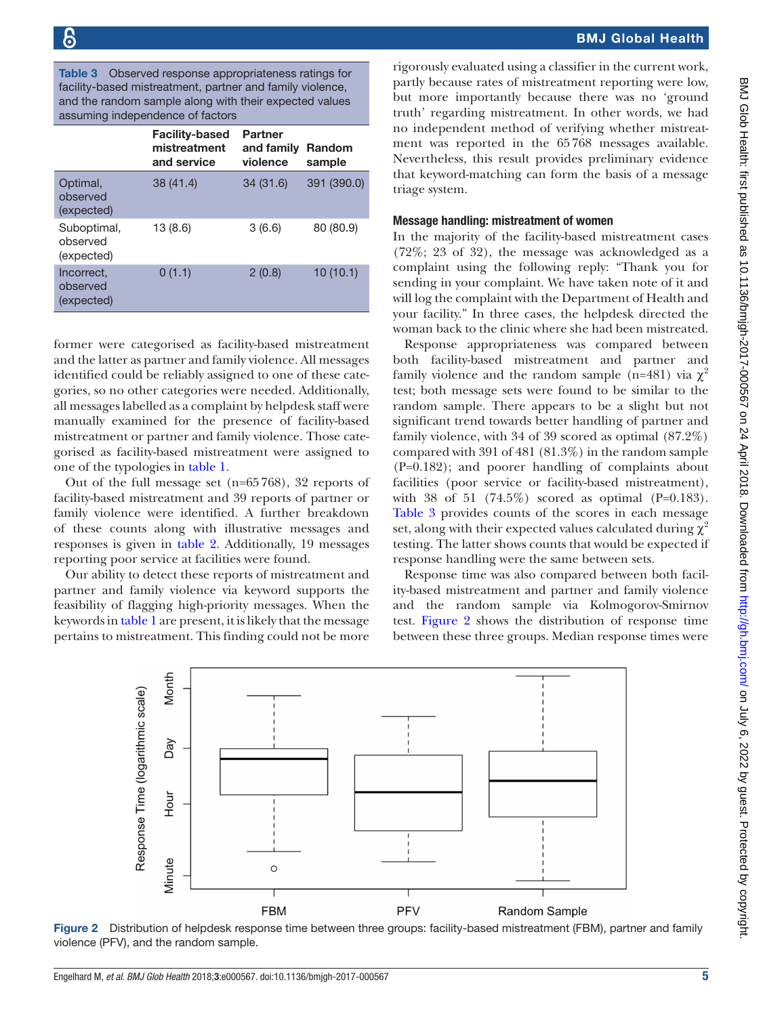<span id="page-4-0"></span>Table 3 Observed response appropriateness ratings for facility-based mistreatment, partner and family violence, and the random sample along with their expected values assuming independence of factors

|                                       | <b>Facility-based</b><br>mistreatment<br>and service | <b>Partner</b><br>and family<br>violence | <b>Random</b><br>sample |
|---------------------------------------|------------------------------------------------------|------------------------------------------|-------------------------|
| Optimal,<br>observed<br>(expected)    | 38 (41.4)                                            | 34 (31.6)                                | 391 (390.0)             |
| Suboptimal,<br>observed<br>(expected) | 13(8.6)                                              | 3(6.6)                                   | 80 (80.9)               |
| Incorrect.<br>observed<br>(expected)  | 0(1.1)                                               | 2(0.8)                                   | 10(10.1)                |

former were categorised as facility-based mistreatment and the latter as partner and family violence. All messages identified could be reliably assigned to one of these categories, so no other categories were needed. Additionally, all messages labelled as a complaint by helpdesk staff were manually examined for the presence of facility-based mistreatment or partner and family violence. Those categorised as facility-based mistreatment were assigned to one of the typologies in [table](#page-2-0) 1.

Out of the full message set (n=65768), 32 reports of facility-based mistreatment and 39 reports of partner or family violence were identified. A further breakdown of these counts along with illustrative messages and responses is given in [table](#page-3-0) 2. Additionally, 19 messages reporting poor service at facilities were found.

Our ability to detect these reports of mistreatment and partner and family violence via keyword supports the feasibility of flagging high-priority messages. When the keywords in [table](#page-2-0) 1 are present, it is likely that the message pertains to mistreatment. This finding could not be more

rigorously evaluated using a classifier in the current work, partly because rates of mistreatment reporting were low, but more importantly because there was no 'ground truth' regarding mistreatment. In other words, we had no independent method of verifying whether mistreatment was reported in the 65768 messages available. Nevertheless, this result provides preliminary evidence that keyword-matching can form the basis of a message triage system.

### Message handling: mistreatment of women

In the majority of the facility-based mistreatment cases (72%; 23 of 32), the message was acknowledged as a complaint using the following reply: "Thank you for sending in your complaint. We have taken note of it and will log the complaint with the Department of Health and your facility." In three cases, the helpdesk directed the woman back to the clinic where she had been mistreated.

Response appropriateness was compared between both facility-based mistreatment and partner and family violence and the random sample (n=481) via  $\chi^2$ test; both message sets were found to be similar to the random sample. There appears to be a slight but not significant trend towards better handling of partner and family violence, with 34 of 39 scored as optimal (87.2%) compared with 391 of 481 (81.3%) in the random sample (P=0.182); and poorer handling of complaints about facilities (poor service or facility-based mistreatment), with 38 of 51  $(74.5\%)$  scored as optimal  $(P=0.183)$ . [Table](#page-4-0) 3 provides counts of the scores in each message set, along with their expected values calculated during  $\chi^2$ testing. The latter shows counts that would be expected if response handling were the same between sets.

Response time was also compared between both facility-based mistreatment and partner and family violence and the random sample via Kolmogorov-Smirnov test. [Figure](#page-4-1) 2 shows the distribution of response time between these three groups. Median response times were



<span id="page-4-1"></span>Figure 2 Distribution of helpdesk response time between three groups: facility-based mistreatment (FBM), partner and family violence (PFV), and the random sample.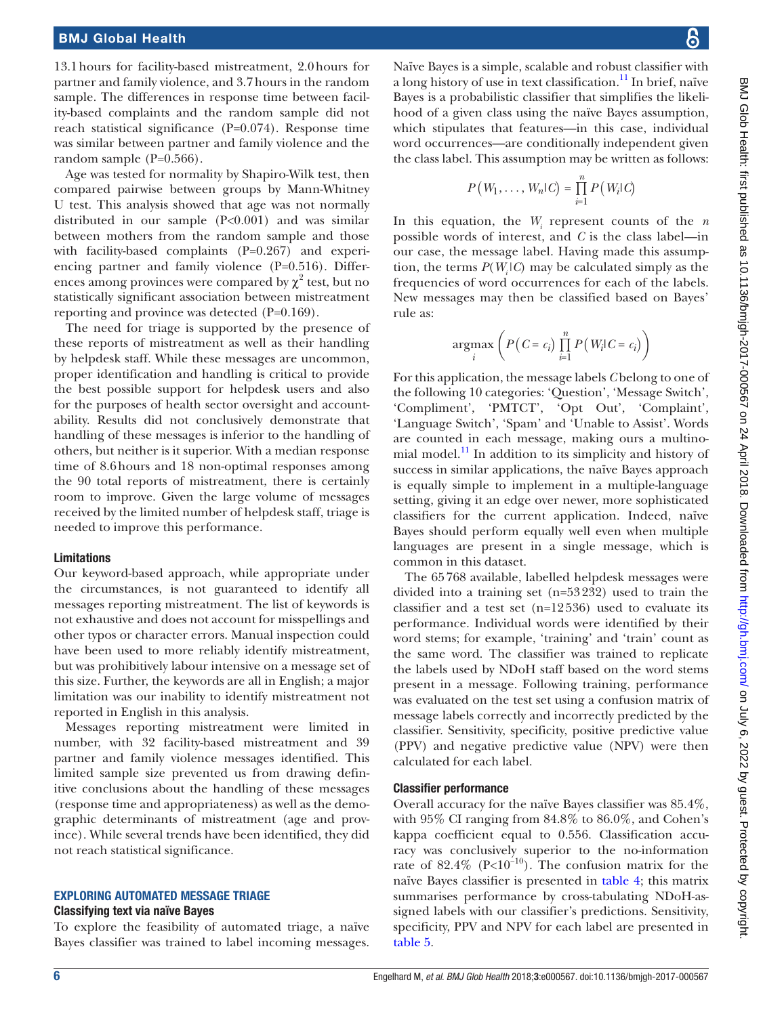13.1hours for facility-based mistreatment, 2.0hours for partner and family violence, and 3.7hours in the random sample. The differences in response time between facility-based complaints and the random sample did not reach statistical significance (P=0.074). Response time was similar between partner and family violence and the random sample (P=0.566).

Age was tested for normality by Shapiro-Wilk test, then compared pairwise between groups by Mann-Whitney U test. This analysis showed that age was not normally distributed in our sample (P<0.001) and was similar between mothers from the random sample and those with facility-based complaints (P=0.267) and experiencing partner and family violence (P=0.516). Differences among provinces were compared by  $\chi^2$  test, but no statistically significant association between mistreatment reporting and province was detected (P=0.169).

The need for triage is supported by the presence of these reports of mistreatment as well as their handling by helpdesk staff. While these messages are uncommon, proper identification and handling is critical to provide the best possible support for helpdesk users and also for the purposes of health sector oversight and accountability. Results did not conclusively demonstrate that handling of these messages is inferior to the handling of others, but neither is it superior. With a median response time of 8.6hours and 18 non-optimal responses among the 90 total reports of mistreatment, there is certainly room to improve. Given the large volume of messages received by the limited number of helpdesk staff, triage is needed to improve this performance.

#### Limitations

Our keyword-based approach, while appropriate under the circumstances, is not guaranteed to identify all messages reporting mistreatment. The list of keywords is not exhaustive and does not account for misspellings and other typos or character errors. Manual inspection could have been used to more reliably identify mistreatment, but was prohibitively labour intensive on a message set of this size. Further, the keywords are all in English; a major limitation was our inability to identify mistreatment not reported in English in this analysis.

Messages reporting mistreatment were limited in number, with 32 facility-based mistreatment and 39 partner and family violence messages identified. This limited sample size prevented us from drawing definitive conclusions about the handling of these messages (response time and appropriateness) as well as the demographic determinants of mistreatment (age and province). While several trends have been identified, they did not reach statistical significance.

#### Exploring automated message triage

#### Classifying text via naïve Bayes

To explore the feasibility of automated triage, a naïve Bayes classifier was trained to label incoming messages.

Naïve Bayes is a simple, scalable and robust classifier with a long history of use in text classification. $^{11}$  In brief, naïve Bayes is a probabilistic classifier that simplifies the likelihood of a given class using the naïve Bayes assumption, which stipulates that features—in this case, individual word occurrences—are conditionally independent given the class label. This assumption may be written as follows:

$$
P(W_1,\ldots,W_n|C)=\prod_{i=1}^n P(W_i|C)
$$

In this equation, the  $W_i$  represent counts of the *n* possible words of interest, and *C* is the class label—in our case, the message label. Having made this assumption, the terms  $P(W_i|C)$  may be calculated simply as the frequencies of word occurrences for each of the labels. New messages may then be classified based on Bayes' rule as:

$$
\underset{i}{\operatorname{argmax}} \left( P(C = c_i) \prod_{i=1}^n P(W_i | C = c_i) \right)
$$

For this application, the message labels *C* belong to one of the following 10 categories: 'Question', 'Message Switch', 'Compliment', 'PMTCT', 'Opt Out', 'Complaint', 'Language Switch', 'Spam' and 'Unable to Assist'. Words are counted in each message, making ours a multinomial model. $^{11}$  In addition to its simplicity and history of success in similar applications, the naïve Bayes approach is equally simple to implement in a multiple-language setting, giving it an edge over newer, more sophisticated classifiers for the current application. Indeed, naïve Bayes should perform equally well even when multiple languages are present in a single message, which is common in this dataset.

The 65768 available, labelled helpdesk messages were divided into a training set (n=53232) used to train the classifier and a test set  $(n=12536)$  used to evaluate its performance. Individual words were identified by their word stems; for example, 'training' and 'train' count as the same word. The classifier was trained to replicate the labels used by NDoH staff based on the word stems present in a message. Following training, performance was evaluated on the test set using a confusion matrix of message labels correctly and incorrectly predicted by the classifier. Sensitivity, specificity, positive predictive value (PPV) and negative predictive value (NPV) were then calculated for each label.

#### Classifier performance

Overall accuracy for the naïve Bayes classifier was 85.4%, with 95% CI ranging from 84.8% to 86.0%, and Cohen's kappa coefficient equal to 0.556. Classification accuracy was conclusively superior to the no-information rate of 82.4% (P<10<sup>-10</sup>). The confusion matrix for the naïve Bayes classifier is presented in [table](#page-6-0) 4; this matrix summarises performance by cross-tabulating NDoH-assigned labels with our classifier's predictions. Sensitivity, specificity, PPV and NPV for each label are presented in [table](#page-7-0) 5.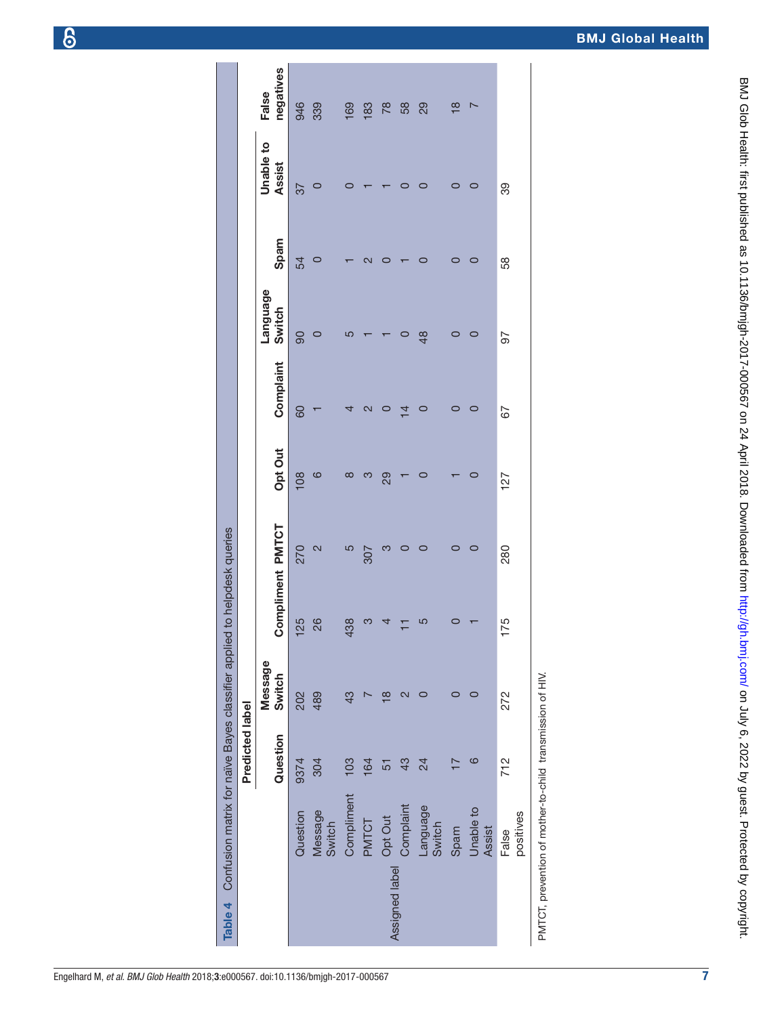<span id="page-6-0"></span>PMTCT, prevention of mother-to-child transmission of HIV. PMTCT, prevention of mother-to-child transmission of HIV.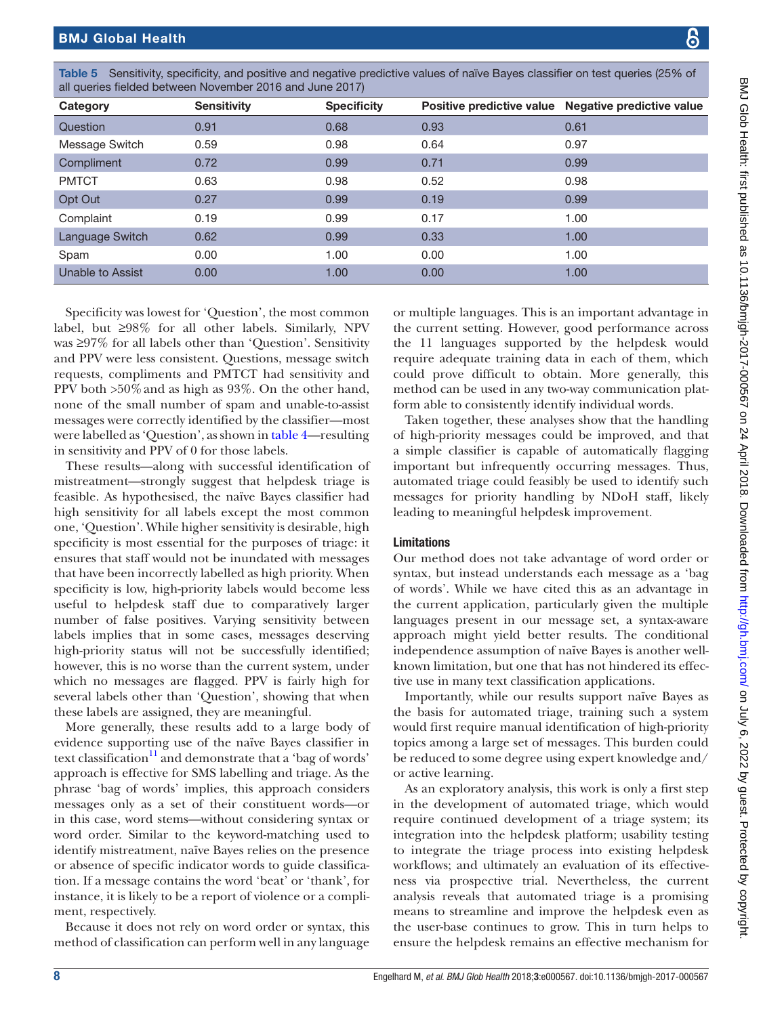| all queries fielded between November 2016 and June 2017) |                    |                    |      |                                                     |  |  |  |
|----------------------------------------------------------|--------------------|--------------------|------|-----------------------------------------------------|--|--|--|
| Category                                                 | <b>Sensitivity</b> | <b>Specificity</b> |      | Positive predictive value Negative predictive value |  |  |  |
| Question                                                 | 0.91               | 0.68               | 0.93 | 0.61                                                |  |  |  |
| Message Switch                                           | 0.59               | 0.98               | 0.64 | 0.97                                                |  |  |  |
| Compliment                                               | 0.72               | 0.99               | 0.71 | 0.99                                                |  |  |  |
| <b>PMTCT</b>                                             | 0.63               | 0.98               | 0.52 | 0.98                                                |  |  |  |
| Opt Out                                                  | 0.27               | 0.99               | 0.19 | 0.99                                                |  |  |  |
| Complaint                                                | 0.19               | 0.99               | 0.17 | 1.00                                                |  |  |  |
| Language Switch                                          | 0.62               | 0.99               | 0.33 | 1.00                                                |  |  |  |
| Spam                                                     | 0.00               | 1.00               | 0.00 | 1.00                                                |  |  |  |
| Unable to Assist                                         | 0.00               | 1.00               | 0.00 | 1.00                                                |  |  |  |

<span id="page-7-0"></span>Table 5 Sensitivity, specificity, and positive and negative predictive values of naïve Bayes classifier on test queries (25% of

Specificity was lowest for 'Question', the most common label, but  $\geq 98\%$  for all other labels. Similarly, NPV was ≥97% for all labels other than 'Question'. Sensitivity and PPV were less consistent. Questions, message switch requests, compliments and PMTCT had sensitivity and PPV both >50%and as high as 93%. On the other hand, none of the small number of spam and unable-to-assist messages were correctly identified by the classifier—most were labelled as 'Question', as shown in [table](#page-6-0) 4—resulting in sensitivity and PPV of 0 for those labels.

These results—along with successful identification of mistreatment—strongly suggest that helpdesk triage is feasible. As hypothesised, the naïve Bayes classifier had high sensitivity for all labels except the most common one, 'Question'. While higher sensitivity is desirable, high specificity is most essential for the purposes of triage: it ensures that staff would not be inundated with messages that have been incorrectly labelled as high priority. When specificity is low, high-priority labels would become less useful to helpdesk staff due to comparatively larger number of false positives. Varying sensitivity between labels implies that in some cases, messages deserving high-priority status will not be successfully identified; however, this is no worse than the current system, under which no messages are flagged. PPV is fairly high for several labels other than 'Question', showing that when these labels are assigned, they are meaningful.

More generally, these results add to a large body of evidence supporting use of the naïve Bayes classifier in text classification $11$  and demonstrate that a 'bag of words' approach is effective for SMS labelling and triage. As the phrase 'bag of words' implies, this approach considers messages only as a set of their constituent words—or in this case, word stems—without considering syntax or word order. Similar to the keyword-matching used to identify mistreatment, naïve Bayes relies on the presence or absence of specific indicator words to guide classification. If a message contains the word 'beat' or 'thank', for instance, it is likely to be a report of violence or a compliment, respectively.

Because it does not rely on word order or syntax, this method of classification can perform well in any language

or multiple languages. This is an important advantage in the current setting. However, good performance across the 11 languages supported by the helpdesk would require adequate training data in each of them, which could prove difficult to obtain. More generally, this method can be used in any two-way communication platform able to consistently identify individual words.

Taken together, these analyses show that the handling of high-priority messages could be improved, and that a simple classifier is capable of automatically flagging important but infrequently occurring messages. Thus, automated triage could feasibly be used to identify such messages for priority handling by NDoH staff, likely leading to meaningful helpdesk improvement.

# Limitations

Our method does not take advantage of word order or syntax, but instead understands each message as a 'bag of words'. While we have cited this as an advantage in the current application, particularly given the multiple languages present in our message set, a syntax-aware approach might yield better results. The conditional independence assumption of naïve Bayes is another wellknown limitation, but one that has not hindered its effective use in many text classification applications.

Importantly, while our results support naïve Bayes as the basis for automated triage, training such a system would first require manual identification of high-priority topics among a large set of messages. This burden could be reduced to some degree using expert knowledge and/ or active learning.

As an exploratory analysis, this work is only a first step in the development of automated triage, which would require continued development of a triage system; its integration into the helpdesk platform; usability testing to integrate the triage process into existing helpdesk workflows; and ultimately an evaluation of its effectiveness via prospective trial. Nevertheless, the current analysis reveals that automated triage is a promising means to streamline and improve the helpdesk even as the user-base continues to grow. This in turn helps to ensure the helpdesk remains an effective mechanism for